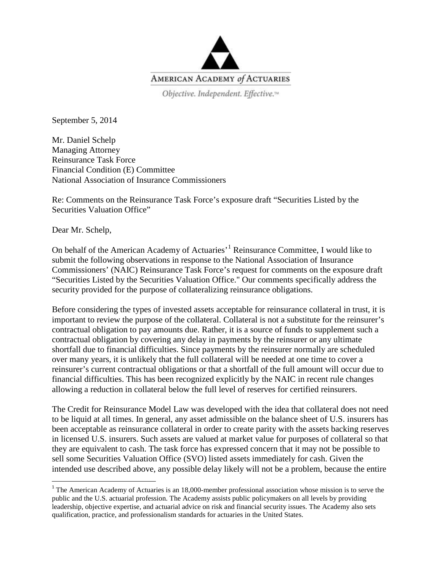

Objective. Independent. Effective.<sup>14</sup>

September 5, 2014

Mr. Daniel Schelp Managing Attorney Reinsurance Task Force Financial Condition (E) Committee National Association of Insurance Commissioners

Re: Comments on the Reinsurance Task Force's exposure draft "Securities Listed by the Securities Valuation Office"

Dear Mr. Schelp,

On behalf of the American Academy of Actuaries<sup>, [1](#page-0-0)</sup> Reinsurance Committee, I would like to submit the following observations in response to the National Association of Insurance Commissioners' (NAIC) Reinsurance Task Force's request for comments on the exposure draft "Securities Listed by the Securities Valuation Office." Our comments specifically address the security provided for the purpose of collateralizing reinsurance obligations.

Before considering the types of invested assets acceptable for reinsurance collateral in trust, it is important to review the purpose of the collateral. Collateral is not a substitute for the reinsurer's contractual obligation to pay amounts due. Rather, it is a source of funds to supplement such a contractual obligation by covering any delay in payments by the reinsurer or any ultimate shortfall due to financial difficulties. Since payments by the reinsurer normally are scheduled over many years, it is unlikely that the full collateral will be needed at one time to cover a reinsurer's current contractual obligations or that a shortfall of the full amount will occur due to financial difficulties. This has been recognized explicitly by the NAIC in recent rule changes allowing a reduction in collateral below the full level of reserves for certified reinsurers.

The Credit for Reinsurance Model Law was developed with the idea that collateral does not need to be liquid at all times. In general, any asset admissible on the balance sheet of U.S. insurers has been acceptable as reinsurance collateral in order to create parity with the assets backing reserves in licensed U.S. insurers. Such assets are valued at market value for purposes of collateral so that they are equivalent to cash. The task force has expressed concern that it may not be possible to sell some Securities Valuation Office (SVO) listed assets immediately for cash. Given the intended use described above, any possible delay likely will not be a problem, because the entire

<span id="page-0-0"></span><sup>&</sup>lt;sup>1</sup> The American Academy of Actuaries is an 18,000-member professional association whose mission is to serve the public and the U.S. actuarial profession. The Academy assists public policymakers on all levels by providing leadership, objective expertise, and actuarial advice on risk and financial security issues. The Academy also sets qualification, practice, and professionalism standards for actuaries in the United States.